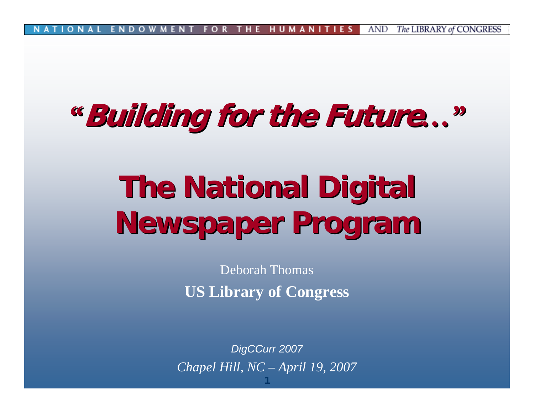AND The LIBRARY of CONGRESS FOR о N. A **ENDOWMEN** THE HUMANI

#### *"***Building for the Future Building for the Future***…"*

# **The National Digital Newspaper Program Newspaper Program**

Deborah Thomas**US Library of Congress**

*DigCCurr 2007 Chapel Hill, NC – April 19, 2007*

**1**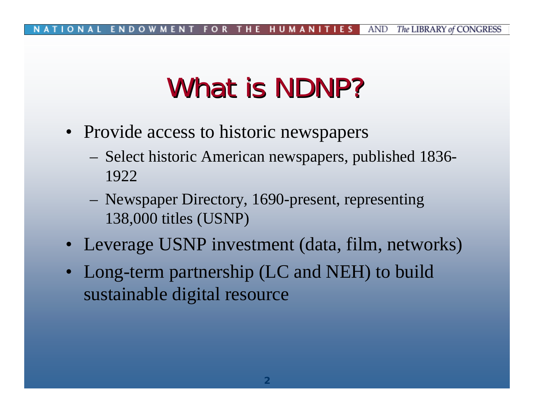# What is NDNP?

- Provide access to historic newspapers
	- Select historic American newspapers, published 1836- 1922
	- Newspaper Directory, 1690-present, representing 138,000 titles (USNP)
- Leverage USNP investment (data, film, networks)
- Long-term partnership (LC and NEH) to build sustainable digital resource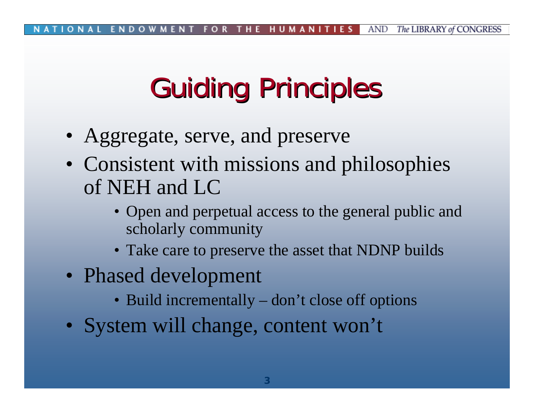# **Guiding Principles**

- Aggregate, serve, and preserve
- Consistent with missions and philosophies of NEH and LC
	- Open and perpetual access to the general public and scholarly community
	- Take care to preserve the asset that NDNP builds
- Phased development
	- Build incrementally don't close off options
- System will change, content won't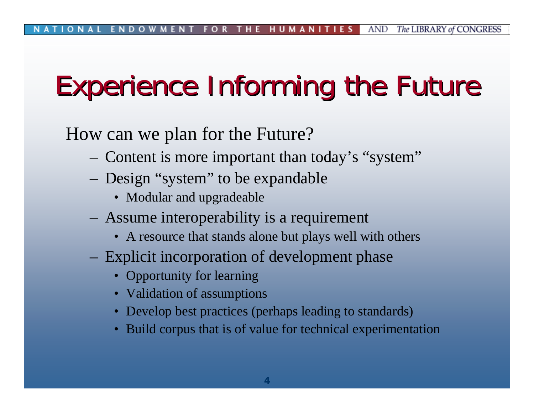# Experience Informing the Future

How can we plan for the Future?

- Content is more important than today's "system"
- Design "system" to be expandable
	- Modular and upgradeable
- Assume interoperability is a requirement
	- A resource that stands alone but plays well with others
- Explicit incorporation of development phase
	- Opportunity for learning
	- Validation of assumptions
	- Develop best practices (perhaps leading to standards)
	- Build corpus that is of value for technical experimentation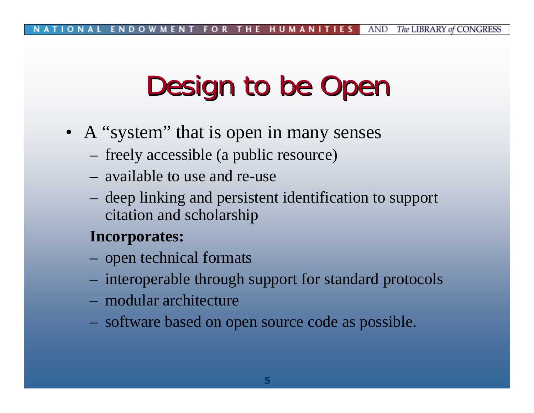# Design to be Open

- A "system" that is open in many senses
	- freely accessible (a public resource)
	- available to use and re-use
	- deep linking and persistent identification to support citation and scholarship

#### **Incorporates:**

- open technical formats
- interoperable through support for standard protocols
- modular architecture
- software based on open source code as possible.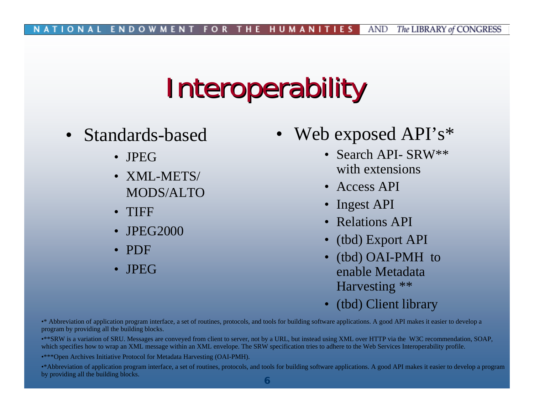## **Interoperability**

- Standards-based
	- JPEG
	- XML-METS/ MODS/ALTO
	- •TIFF
	- JPEG2000
	- PDF
	- JPEG
- •Web exposed API's\*
	- Search API- SRW\*\* with extensions
	- Access API
	- •Ingest API
	- •Relations API
	- •(tbd) Export API
	- • (tbd) OAI-PMH to enable Metadata Harvesting \*\*
	- •(tbd) Client library

•\* Abbreviation of application program interface, a set of routines, protocols, and tools for building software applications. A good API makes it easier to develop a program by providing all the building blocks.

•\*\*SRW is a variation of SRU. Messages are conveyed from client to server, not by a URL, but instead using XML over HTTP via the W3C recommendation, SOAP, which specifies how to wrap an XML message within an XML envelope. The SRW specification tries to adhere to the Web Services Interoperability profile.

•\*\*\*Open Archives Initiative Protocol for Metadata Harvesting (OAI-PMH).

<sup>•\*</sup>Abbreviation of application program interface, a set of routines, protocols, and tools for building software applications. A good API makes it easier to develop a program by providing all the building blocks.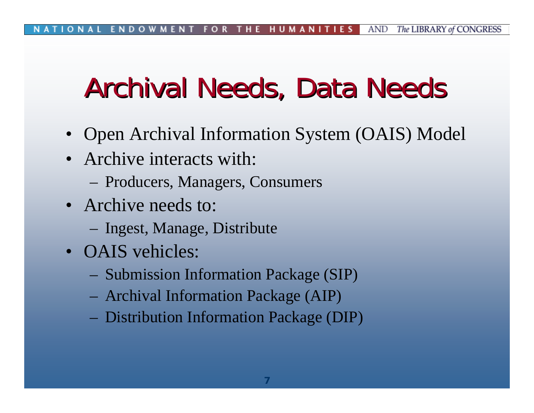### Archival Needs, Data Needs

- Open Archival Information System (OAIS) Model
- Archive interacts with:
	- Producers, Managers, Consumers
- Archive needs to:
	- Ingest, Manage, Distribute
- OAIS vehicles:
	- Submission Information Package (SIP)
	- Archival Information Package (AIP)
	- Distribution Information Package (DIP)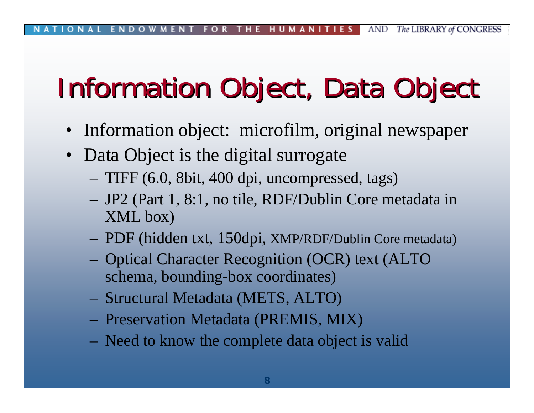# Information Object, Data Object

- Information object: microfilm, original newspaper
- Data Object is the digital surrogate
	- TIFF (6.0, 8bit, 400 dpi, uncompressed, tags)
	- JP2 (Part 1, 8:1, no tile, RDF/Dublin Core metadata in XML box)
	- PDF (hidden txt, 150dpi, XMP/RDF/Dublin Core metadata)
	- Optical Character Recognition (OCR) text (ALTO schema, bounding-box coordinates)
	- Structural Metadata (METS, ALTO)
	- Preservation Metadata (PREMIS, MIX)
	- Need to know the complete data object is valid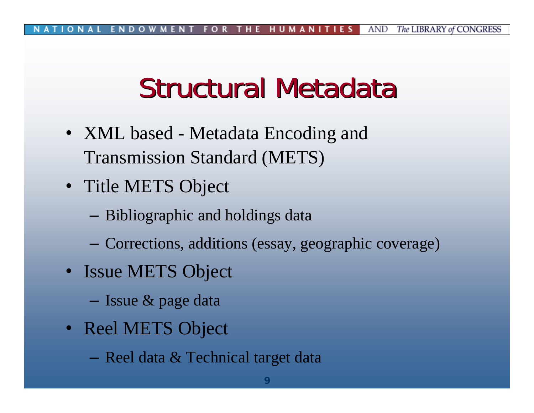### Structural Metadata

- XML based Metadata Encoding and Transmission Standard (METS)
- Title METS Object
	- Bibliographic and holdings data
	- ‒Corrections, additions (essay, geographic coverage)
- Issue METS Object
	- Issue & page data
- Reel METS Object
	- $-$  Reel data  $\&$  Technical target data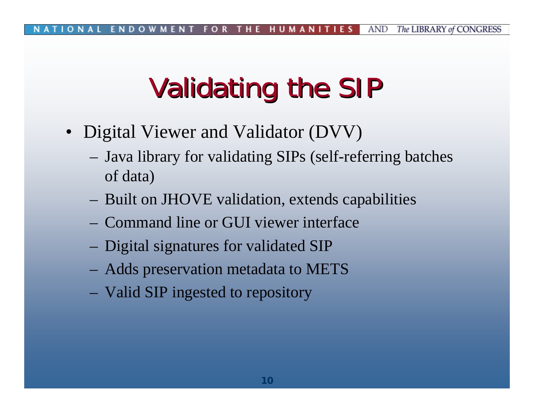# Validating the SIP

- Digital Viewer and Validator (DVV)
	- Java library for validating SIPs (self-referring batches of data)
	- Built on JHOVE validation, extends capabilities
	- Command line or GUI viewer interface
	- Digital signatures for validated SIP
	- Adds preservation metadata to METS
	- Valid SIP ingested to repository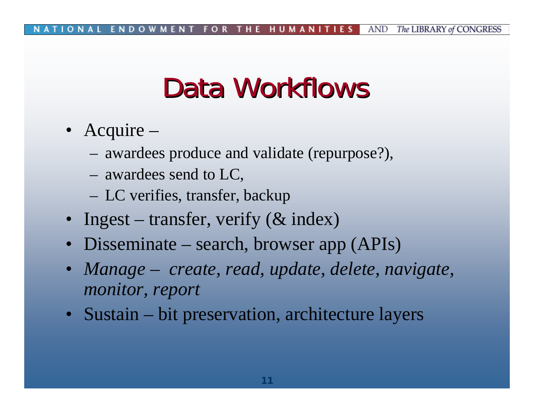### Data Workflows

- Acquire
	- awardees produce and validate (repurpose?),
	- awardees send to LC,
	- LC verifies, transfer, backup
- Ingest transfer, verify (& index)
- Disseminate search, browser app (APIs)
- $\bullet$  *Manage – create, read, update, delete, navigate, monitor, report*
- Sustain bit preservation, architecture layers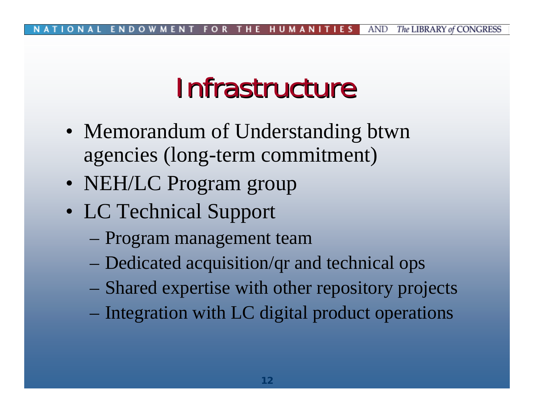#### Infrastructure

- Memorandum of Understanding btwn agencies (long-term commitment)
- NEH/LC Program group
- LC Technical Support
	- Program management team
	- Dedicated acquisition/qr and technical ops
	- Shared expertise with other repository projects
	- Integration with LC digital product operations